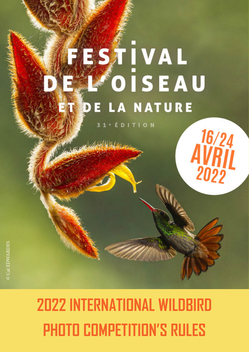# **ESTIVAL** OISEAU NATURE Δ

**TION** D

16/24<br>AVRIL<br>2022

© Annik MARIN

# **2022 INTERNATIONAL WILDBIRD PHOTO COMPETITION'S RULES**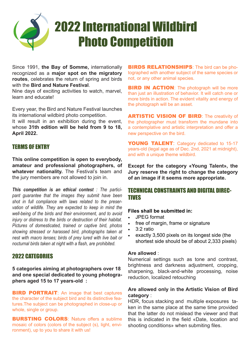

Since 1991, **the Bay of Somme,** internationally recognized as a **major spot on the migratory routes**, celebrates the return of spring and birds with the **Bird and Nature Festival**.

Nine days of exciting activities to watch, marvel, learn and educate!

Every year, the Bird and Nature Festival launches its international wildbird photo competition.

It will result in an exhibition during the event, whose **31th edition will be held from 9 to 18, April 2022.**

# TERMS OF ENTRY

**This online competition is open to everybody, amateur and professional photographers, of whatever nationality.** The Festival's team and the jury members are not allowed to join in.

*This competition is an ethical contest : The participant guarantee that the images they submit have been shot in full compliance with laws related to the preservation of wildlife. They are expected to keep in mind the well-being of the birds and their environment, and to avoid injury or distress to the birds or destruction of their habitat. Pictures of domesticated, trained or captive bird, photos showing stressed or harassed bird, photographs taken at nest with macro lenses; birds of prey lured with live bait or nocturnal birds taken at night with a flash, are prohibited.* 

#### 2022 CATEGORIES

**5 categories aiming at photographers over 18 and one special dedicated to young photographers aged 15 to 17 years-old :** 

**BIRD PORTRAIT:** An image that best captures the character of the subject bird and its distinctive features.The subject can be photographed in close-up or whole, single or group.

**BURSTING COLORS:** Nature offers a sublime mosaic of colors (colors of the subject (s), light, environment), up to you to share it with us!

**BIRDS RELATIONSHIPS:** The bird can be photographed with another subject of the same species or not, or any other animal species.

**BIRD IN ACTION:** The photograph will be more than just an illustration of behavior. It will catch one or more birds in action. The evident vitality and energy of the photograph will be an asset.

**ARTISTIC VISION OF BIRD:** The creativity of the photographer must transform the mundane into a contemplative and artistic interpretation and offer a new perspective on the bird.

YOUNG TALENT: Category dedicated to 15-17 years-old (legal age as of Dec. 2nd, 2021 at midnight), and with a unique theme wildbird.

**Except for the category «Young Talent», the Jury reserve the right to change the category of an image if it seems more appropriate.**

# TECHNICAL CONSTRAINTS AND DIGITAL DIREC-TIVES

#### **Files shall be submitted in:**

- JPEG format
- free of margin, frame or signature
- 3:2 ratio
- exactly 3,500 pixels on its longest side (the shortest side should be of about 2,333 pixels)

#### **Are allowed** :

Numerical settings such as tone and contrast, brightness and darkness adjustment, cropping, sharpening, black-and-white processing, noise reduction, localized retouching

#### **Are allowed only in the Artistic Vision of Bird category** :

HDR, focus stacking and multiple exposures taken in the same place at the same time provided that the latter do not mislead the viewer and that this is indicated in the field «Date, location and shooting conditions» when submiting files.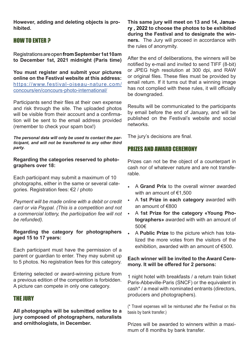**However, adding and deleting objects is prohibited.**

# HOW TO ENTER ?

Registrations are open **fromSeptember 1st 10am to December 1st, 2021 midnight (Paris time)** 

**You must register and submit your pictures online on the Festival website at this address:**  https://www.festival-oiseau-nature.com/ concours/en/concours-photo-international/

Participants send their files at their own expense and risk through the site. The uploaded photos will be visible from their account and a confirmation will be sent to the email address provided (remember to check your spam box!)

*The personal data will only be used to contact the participant, and will not be transferred to any other third party.*

**Regarding the categories reserved to photographers over 18:** 

Each participant may submit a maximum of 10 photographs, either in the same or several categories. Registration fees: €2 / photo

*Payment will be made online with a debit or credit card or via Paypal. (This is a competition and not a commercial lottery, the participation fee will not be refunded).*

#### **Regarding the category for photographers aged 15 to 17 years:**

Each participant must have the permission of a parent or guardian to enter. They may submit up to 5 photos. No registration fees for this category.

Entering selected or award-winning picture from a previous edition of the competition is forbidden. A picture can compete in only one category.

# THE JURY

**All photographs will be submitted online to a jury composed of photographers, naturalists and ornithologists, in December.** 

**This same jury will meet on 13 and 14, January , 2022 to choose the photos to be exhibited during the Festival and to designate the winners.** The Jury will proceed in accordance with the rules of anonymity.

After the end of deliberations, the winners will be notified by e-mail and invited to send TIFF (8-bit) or JPEG high resolution at 300 dpi, and RAW or original files. These files must be provided by email return. If it turns out that a winning image has not complied with these rules, it will officially be downgraded.

Results will be communicated to the participants by email before the end of January, and will be published on the Festival's website and social networks.

The jury's decisions are final.

# PRIZES AND AWARD CEREMONY

Prizes can not be the object of a counterpart in cash nor of whatever nature and are not transferable.

- A **Grand Prix** to the overall winner awarded with an amount of €1,500
- A **1st Prize in each category** awarded with an amount of €800
- A **1st Prize for the category «Young Photographers»** awarded with with an amount of 500€
- A **Public Prize** to the picture which has totalized the more votes from the visitors of the exhibition, awarded with an amount of  $€500$ .

#### **Each winner will be invited to the Award Ceremony. It will be offered for 2 persons:**

1 night hotel with breakfasts / a return train ticket Paris-Abbeville-Paris (SNCF) or the equivalent in cash\* / a meal with nominated entrants (directors, producers and photographers).

(\* Travel expenses will be reimbursed after the Festival on this basis by bank transfer.)

Prizes will be awarded to winners within a maximum of 8 months by bank transfer.